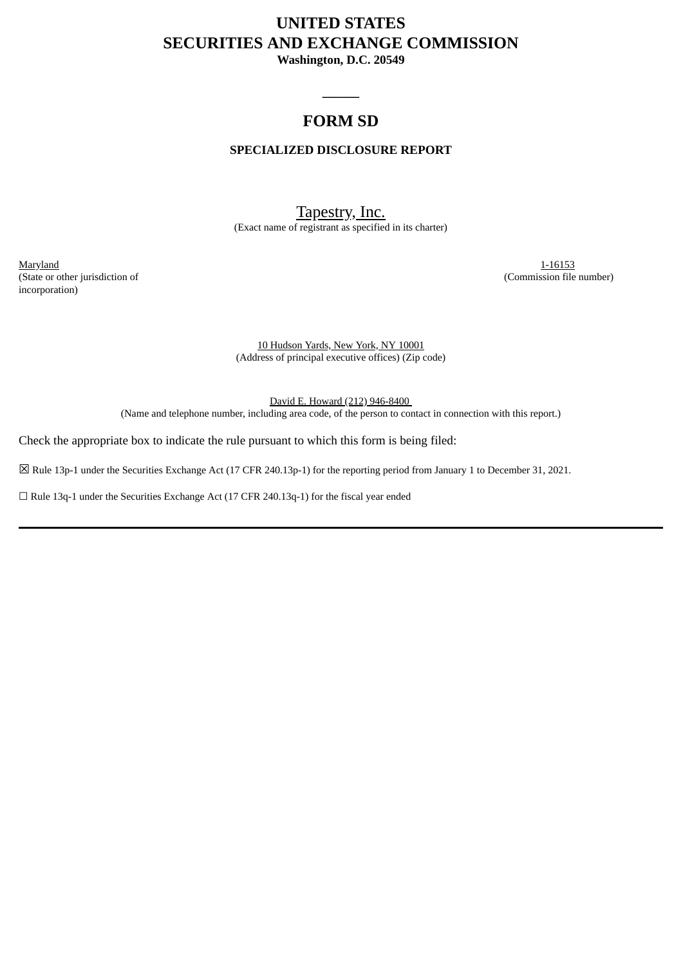# **UNITED STATES SECURITIES AND EXCHANGE COMMISSION**

**Washington, D.C. 20549**

## **FORM SD**

 $\overline{\phantom{a}}$ 

## **SPECIALIZED DISCLOSURE REPORT**

## Tapestry, Inc.

(Exact name of registrant as specified in its charter)

Maryland 1-16153 (State or other jurisdiction of (Commission file number) incorporation)

10 Hudson Yards, New York, NY 10001 (Address of principal executive offices) (Zip code)

David E. Howard (212) 946-8400 (Name and telephone number, including area code, of the person to contact in connection with this report.)

Check the appropriate box to indicate the rule pursuant to which this form is being filed:

☒ Rule 13p-1 under the Securities Exchange Act (17 CFR 240.13p-1) for the reporting period from January 1 to December 31, 2021.

☐ Rule 13q-1 under the Securities Exchange Act (17 CFR 240.13q-1) for the fiscal year ended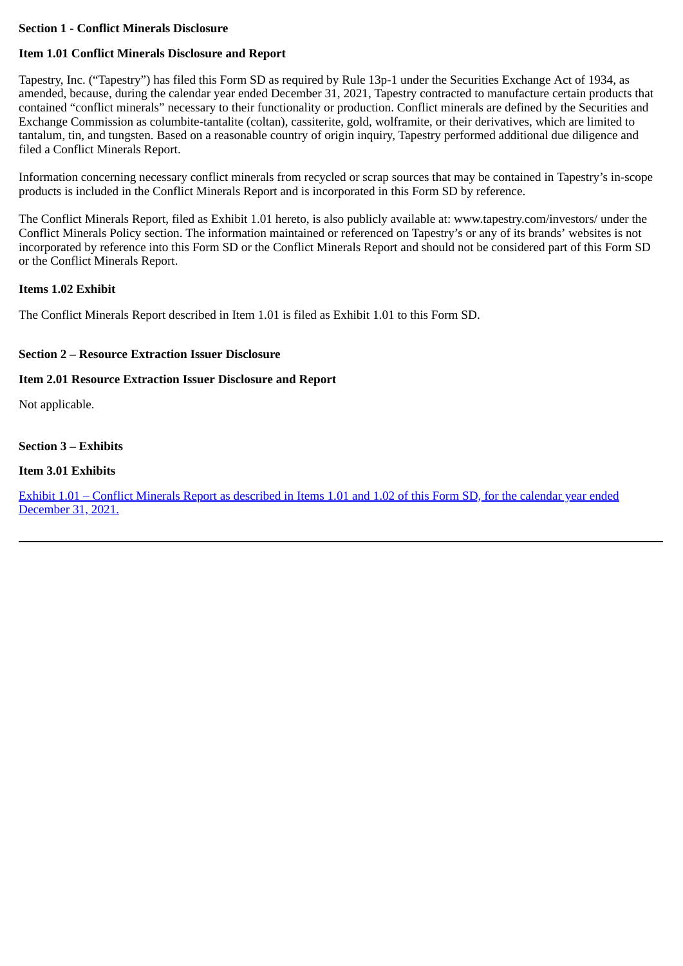#### **Section 1 - Conflict Minerals Disclosure**

## **Item 1.01 Conflict Minerals Disclosure and Report**

Tapestry, Inc. ("Tapestry") has filed this Form SD as required by Rule 13p-1 under the Securities Exchange Act of 1934, as amended, because, during the calendar year ended December 31, 2021, Tapestry contracted to manufacture certain products that contained "conflict minerals" necessary to their functionality or production. Conflict minerals are defined by the Securities and Exchange Commission as columbite-tantalite (coltan), cassiterite, gold, wolframite, or their derivatives, which are limited to tantalum, tin, and tungsten. Based on a reasonable country of origin inquiry, Tapestry performed additional due diligence and filed a Conflict Minerals Report.

Information concerning necessary conflict minerals from recycled or scrap sources that may be contained in Tapestry's in-scope products is included in the Conflict Minerals Report and is incorporated in this Form SD by reference.

The Conflict Minerals Report, filed as Exhibit 1.01 hereto, is also publicly available at: www.tapestry.com/investors/ under the Conflict Minerals Policy section. The information maintained or referenced on Tapestry's or any of its brands' websites is not incorporated by reference into this Form SD or the Conflict Minerals Report and should not be considered part of this Form SD or the Conflict Minerals Report.

#### **Items 1.02 Exhibit**

The Conflict Minerals Report described in Item 1.01 is filed as Exhibit 1.01 to this Form SD.

## **Section 2 – Resource Extraction Issuer Disclosure**

## **Item 2.01 Resource Extraction Issuer Disclosure and Report**

Not applicable.

## **Section 3 – Exhibits**

## **Item 3.01 Exhibits**

[Exhibit 1.01 – Conflict Minerals Report as described in Items 1.01 and 1.02 of this Form SD, for the calendar year ended](#page-3-0) December 31, 2021.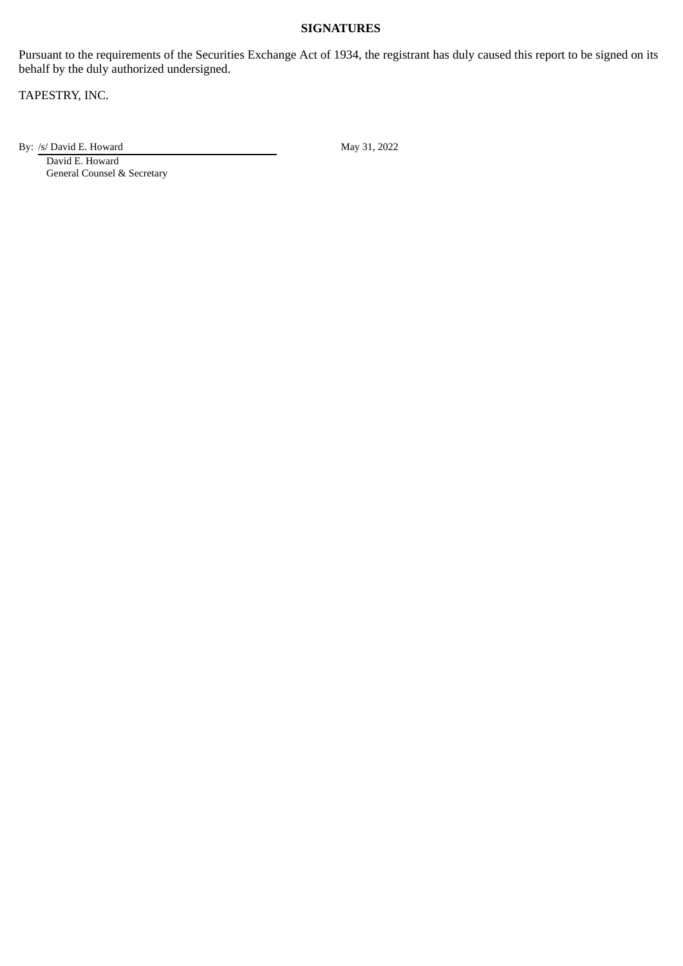## **SIGNATURES**

Pursuant to the requirements of the Securities Exchange Act of 1934, the registrant has duly caused this report to be signed on its behalf by the duly authorized undersigned.

TAPESTRY, INC.

By: /s/ David E. Howard May 31, 2022

David E. Howard General Counsel & Secretary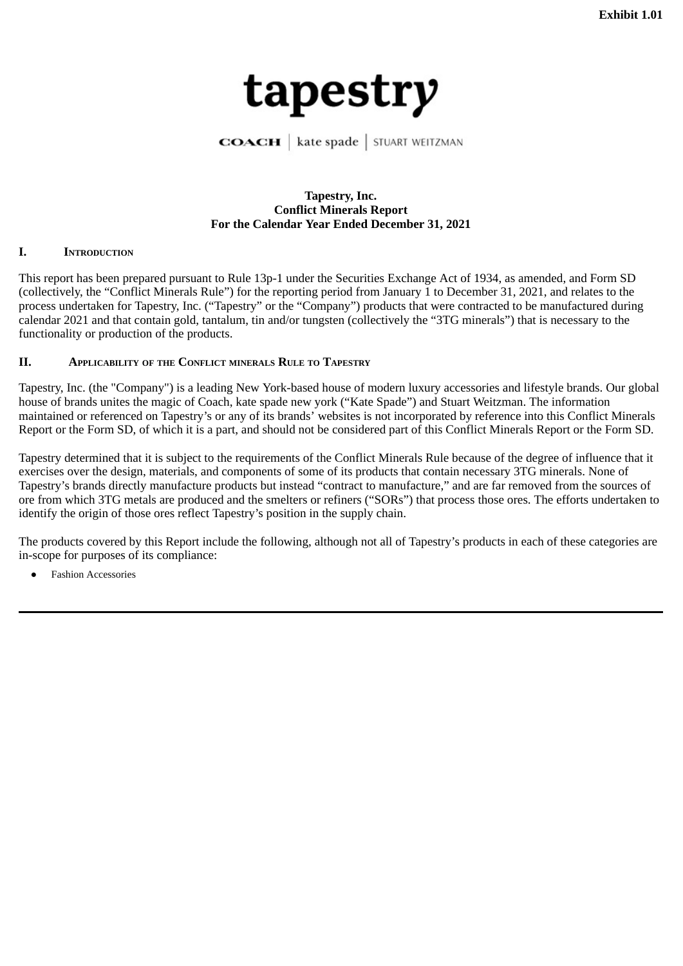<span id="page-3-0"></span>

**COACH** | kate spade | STUART WEITZMAN

#### **Tapestry, Inc. Conflict Minerals Report For the Calendar Year Ended December 31, 2021**

#### **I. INTRODUCTION**

This report has been prepared pursuant to Rule 13p-1 under the Securities Exchange Act of 1934, as amended, and Form SD (collectively, the "Conflict Minerals Rule") for the reporting period from January 1 to December 31, 2021, and relates to the process undertaken for Tapestry, Inc. ("Tapestry" or the "Company") products that were contracted to be manufactured during calendar 2021 and that contain gold, tantalum, tin and/or tungsten (collectively the "3TG minerals") that is necessary to the functionality or production of the products.

#### **II. APPLICABILITY OF THE CONFLICT MINERALS RULE TO TAPESTRY**

Tapestry, Inc. (the "Company") is a leading New York-based house of modern luxury accessories and lifestyle brands. Our global house of brands unites the magic of Coach, kate spade new york ("Kate Spade") and Stuart Weitzman. The information maintained or referenced on Tapestry's or any of its brands' websites is not incorporated by reference into this Conflict Minerals Report or the Form SD, of which it is a part, and should not be considered part of this Conflict Minerals Report or the Form SD.

Tapestry determined that it is subject to the requirements of the Conflict Minerals Rule because of the degree of influence that it exercises over the design, materials, and components of some of its products that contain necessary 3TG minerals. None of Tapestry's brands directly manufacture products but instead "contract to manufacture," and are far removed from the sources of ore from which 3TG metals are produced and the smelters or refiners ("SORs") that process those ores. The efforts undertaken to identify the origin of those ores reflect Tapestry's position in the supply chain.

The products covered by this Report include the following, although not all of Tapestry's products in each of these categories are in-scope for purposes of its compliance:

**Fashion Accessories**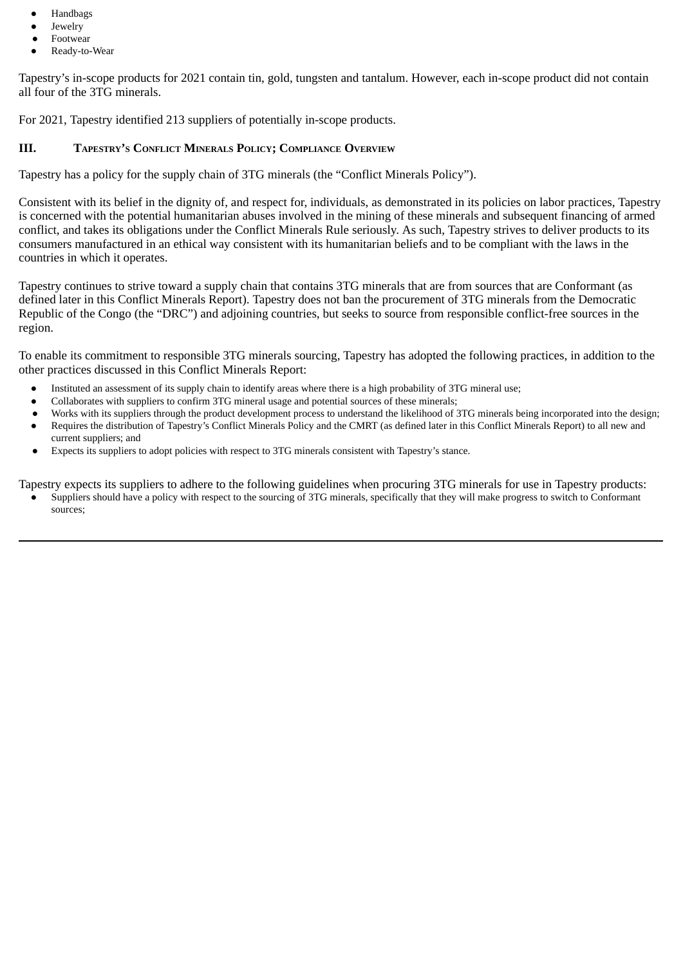- Handbags
- Jewelry
- **Footwear**
- Ready-to-Wear

Tapestry's in-scope products for 2021 contain tin, gold, tungsten and tantalum. However, each in-scope product did not contain all four of the 3TG minerals.

For 2021, Tapestry identified 213 suppliers of potentially in-scope products.

#### **III. TAPESTRY'S CONFLICT MINERALS POLICY; COMPLIANCE OVERVIEW**

Tapestry has a policy for the supply chain of 3TG minerals (the "Conflict Minerals Policy").

Consistent with its belief in the dignity of, and respect for, individuals, as demonstrated in its policies on labor practices, Tapestry is concerned with the potential humanitarian abuses involved in the mining of these minerals and subsequent financing of armed conflict, and takes its obligations under the Conflict Minerals Rule seriously. As such, Tapestry strives to deliver products to its consumers manufactured in an ethical way consistent with its humanitarian beliefs and to be compliant with the laws in the countries in which it operates.

Tapestry continues to strive toward a supply chain that contains 3TG minerals that are from sources that are Conformant (as defined later in this Conflict Minerals Report). Tapestry does not ban the procurement of 3TG minerals from the Democratic Republic of the Congo (the "DRC") and adjoining countries, but seeks to source from responsible conflict-free sources in the region.

To enable its commitment to responsible 3TG minerals sourcing, Tapestry has adopted the following practices, in addition to the other practices discussed in this Conflict Minerals Report:

- Instituted an assessment of its supply chain to identify areas where there is a high probability of 3TG mineral use;
- Collaborates with suppliers to confirm 3TG mineral usage and potential sources of these minerals;
- Works with its suppliers through the product development process to understand the likelihood of 3TG minerals being incorporated into the design; ● Requires the distribution of Tapestry's Conflict Minerals Policy and the CMRT (as defined later in this Conflict Minerals Report) to all new and
- current suppliers; and
- Expects its suppliers to adopt policies with respect to 3TG minerals consistent with Tapestry's stance.

Tapestry expects its suppliers to adhere to the following guidelines when procuring 3TG minerals for use in Tapestry products:

Suppliers should have a policy with respect to the sourcing of 3TG minerals, specifically that they will make progress to switch to Conformant sources;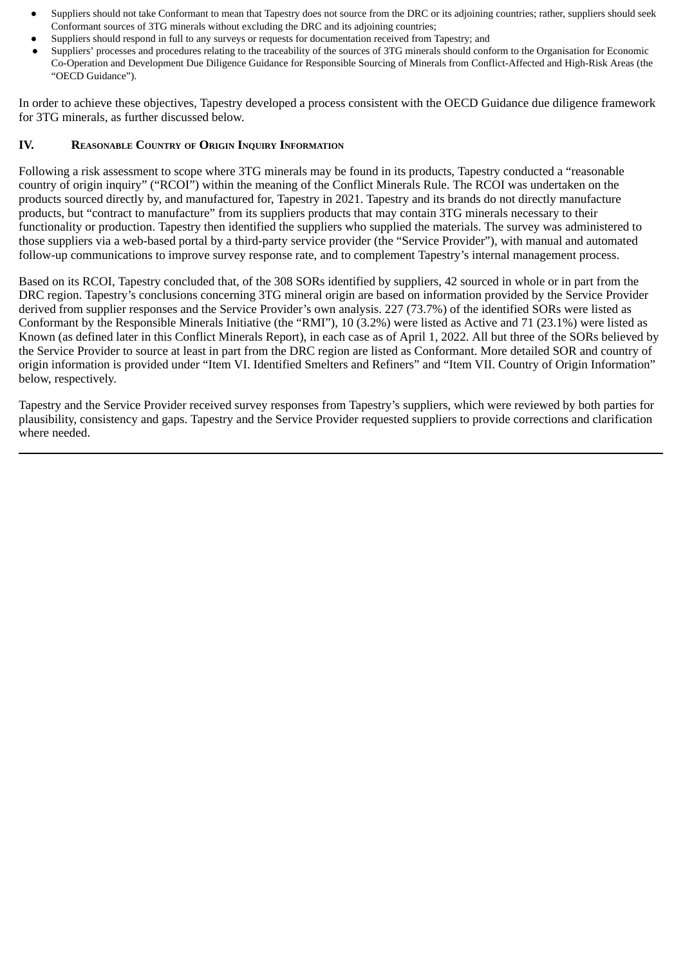- Suppliers should not take Conformant to mean that Tapestry does not source from the DRC or its adjoining countries; rather, suppliers should seek Conformant sources of 3TG minerals without excluding the DRC and its adjoining countries;
- Suppliers should respond in full to any surveys or requests for documentation received from Tapestry; and
- Suppliers' processes and procedures relating to the traceability of the sources of 3TG minerals should conform to the Organisation for Economic Co-Operation and Development Due Diligence Guidance for Responsible Sourcing of Minerals from Conflict-Affected and High-Risk Areas (the "OECD Guidance").

In order to achieve these objectives, Tapestry developed a process consistent with the OECD Guidance due diligence framework for 3TG minerals, as further discussed below.

#### **IV. REASONABLE COUNTRY OF ORIGIN INQUIRY INFORMATION**

Following a risk assessment to scope where 3TG minerals may be found in its products, Tapestry conducted a "reasonable country of origin inquiry" ("RCOI") within the meaning of the Conflict Minerals Rule. The RCOI was undertaken on the products sourced directly by, and manufactured for, Tapestry in 2021. Tapestry and its brands do not directly manufacture products, but "contract to manufacture" from its suppliers products that may contain 3TG minerals necessary to their functionality or production. Tapestry then identified the suppliers who supplied the materials. The survey was administered to those suppliers via a web-based portal by a third-party service provider (the "Service Provider"), with manual and automated follow-up communications to improve survey response rate, and to complement Tapestry's internal management process.

Based on its RCOI, Tapestry concluded that, of the 308 SORs identified by suppliers, 42 sourced in whole or in part from the DRC region. Tapestry's conclusions concerning 3TG mineral origin are based on information provided by the Service Provider derived from supplier responses and the Service Provider's own analysis. 227 (73.7%) of the identified SORs were listed as Conformant by the Responsible Minerals Initiative (the "RMI"), 10 (3.2%) were listed as Active and 71 (23.1%) were listed as Known (as defined later in this Conflict Minerals Report), in each case as of April 1, 2022. All but three of the SORs believed by the Service Provider to source at least in part from the DRC region are listed as Conformant. More detailed SOR and country of origin information is provided under "Item VI. Identified Smelters and Refiners" and "Item VII. Country of Origin Information" below, respectively.

Tapestry and the Service Provider received survey responses from Tapestry's suppliers, which were reviewed by both parties for plausibility, consistency and gaps. Tapestry and the Service Provider requested suppliers to provide corrections and clarification where needed.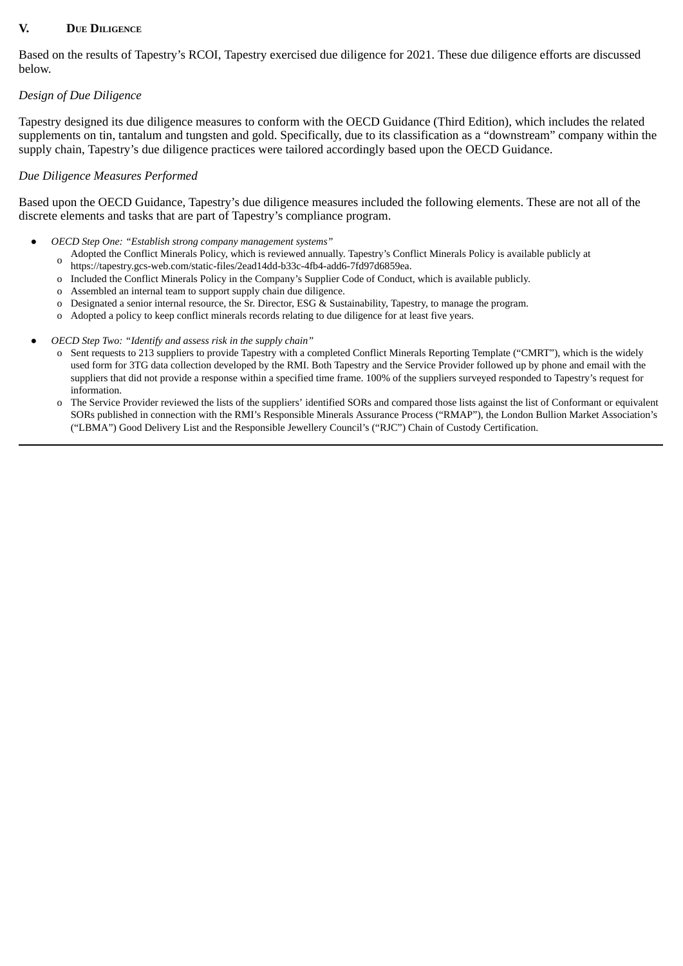## **V. DUE DILIGENCE**

Based on the results of Tapestry's RCOI, Tapestry exercised due diligence for 2021. These due diligence efforts are discussed below.

## *Design of Due Diligence*

Tapestry designed its due diligence measures to conform with the OECD Guidance (Third Edition), which includes the related supplements on tin, tantalum and tungsten and gold. Specifically, due to its classification as a "downstream" company within the supply chain, Tapestry's due diligence practices were tailored accordingly based upon the OECD Guidance.

#### *Due Diligence Measures Performed*

Based upon the OECD Guidance, Tapestry's due diligence measures included the following elements. These are not all of the discrete elements and tasks that are part of Tapestry's compliance program.

- *OECD Step One: "Establish strong company management systems"*
	- o Adopted the Conflict Minerals Policy, which is reviewed annually. Tapestry's Conflict Minerals Policy is available publicly at https://tapestry.gcs-web.com/static-files/2ead14dd-b33c-4fb4-add6-7fd97d6859ea.
	- o Included the Conflict Minerals Policy in the Company's Supplier Code of Conduct, which is available publicly.
	- o Assembled an internal team to support supply chain due diligence.
	- o Designated a senior internal resource, the Sr. Director, ESG & Sustainability, Tapestry, to manage the program.
	- o Adopted a policy to keep conflict minerals records relating to due diligence for at least five years.
- *OECD Step Two: "Identify and assess risk in the supply chain"*
	- o Sent requests to 213 suppliers to provide Tapestry with a completed Conflict Minerals Reporting Template ("CMRT"), which is the widely used form for 3TG data collection developed by the RMI. Both Tapestry and the Service Provider followed up by phone and email with the suppliers that did not provide a response within a specified time frame. 100% of the suppliers surveyed responded to Tapestry's request for information.
	- o The Service Provider reviewed the lists of the suppliers' identified SORs and compared those lists against the list of Conformant or equivalent SORs published in connection with the RMI's Responsible Minerals Assurance Process ("RMAP"), the London Bullion Market Association's ("LBMA") Good Delivery List and the Responsible Jewellery Council's ("RJC") Chain of Custody Certification.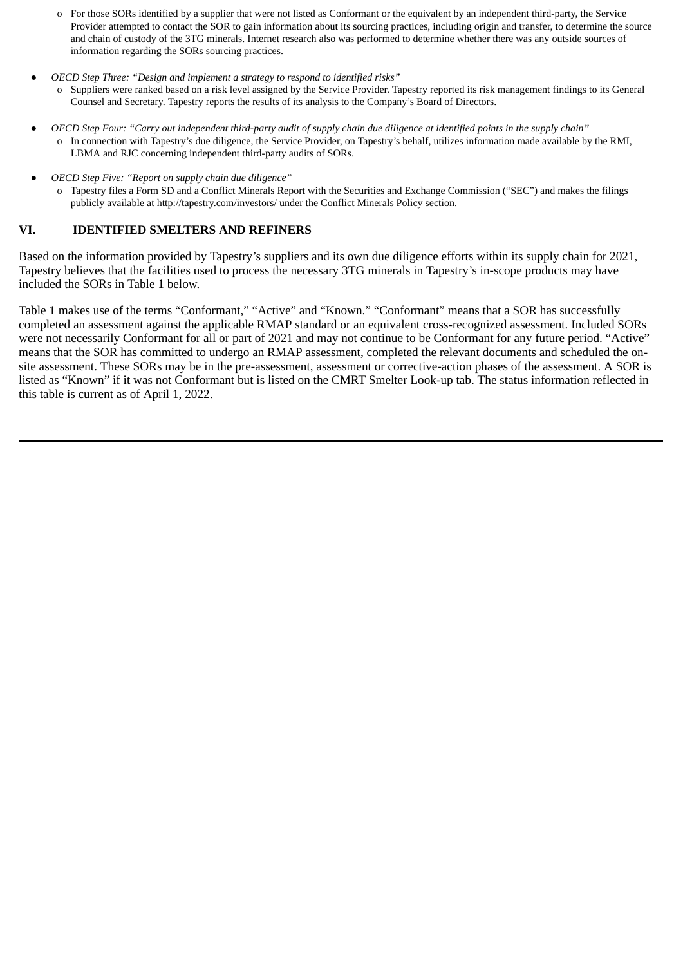- o For those SORs identified by a supplier that were not listed as Conformant or the equivalent by an independent third-party, the Service Provider attempted to contact the SOR to gain information about its sourcing practices, including origin and transfer, to determine the source and chain of custody of the 3TG minerals. Internet research also was performed to determine whether there was any outside sources of information regarding the SORs sourcing practices.
- *OECD Step Three: "Design and implement a strategy to respond to identified risks"*
	- Suppliers were ranked based on a risk level assigned by the Service Provider. Tapestry reported its risk management findings to its General Counsel and Secretary. Tapestry reports the results of its analysis to the Company's Board of Directors.
- OECD Step Four: "Carry out independent third-party audit of supply chain due diligence at identified points in the supply chain" In connection with Tapestry's due diligence, the Service Provider, on Tapestry's behalf, utilizes information made available by the RMI, LBMA and RJC concerning independent third-party audits of SORs.
- *OECD Step Five: "Report on supply chain due diligence"*
	- Tapestry files a Form SD and a Conflict Minerals Report with the Securities and Exchange Commission ("SEC") and makes the filings publicly available at http://tapestry.com/investors/ under the Conflict Minerals Policy section.

#### **VI. IDENTIFIED SMELTERS AND REFINERS**

Based on the information provided by Tapestry's suppliers and its own due diligence efforts within its supply chain for 2021, Tapestry believes that the facilities used to process the necessary 3TG minerals in Tapestry's in-scope products may have included the SORs in Table 1 below.

Table 1 makes use of the terms "Conformant," "Active" and "Known." "Conformant" means that a SOR has successfully completed an assessment against the applicable RMAP standard or an equivalent cross-recognized assessment. Included SORs were not necessarily Conformant for all or part of 2021 and may not continue to be Conformant for any future period. "Active" means that the SOR has committed to undergo an RMAP assessment, completed the relevant documents and scheduled the onsite assessment. These SORs may be in the pre-assessment, assessment or corrective-action phases of the assessment. A SOR is listed as "Known" if it was not Conformant but is listed on the CMRT Smelter Look-up tab. The status information reflected in this table is current as of April 1, 2022.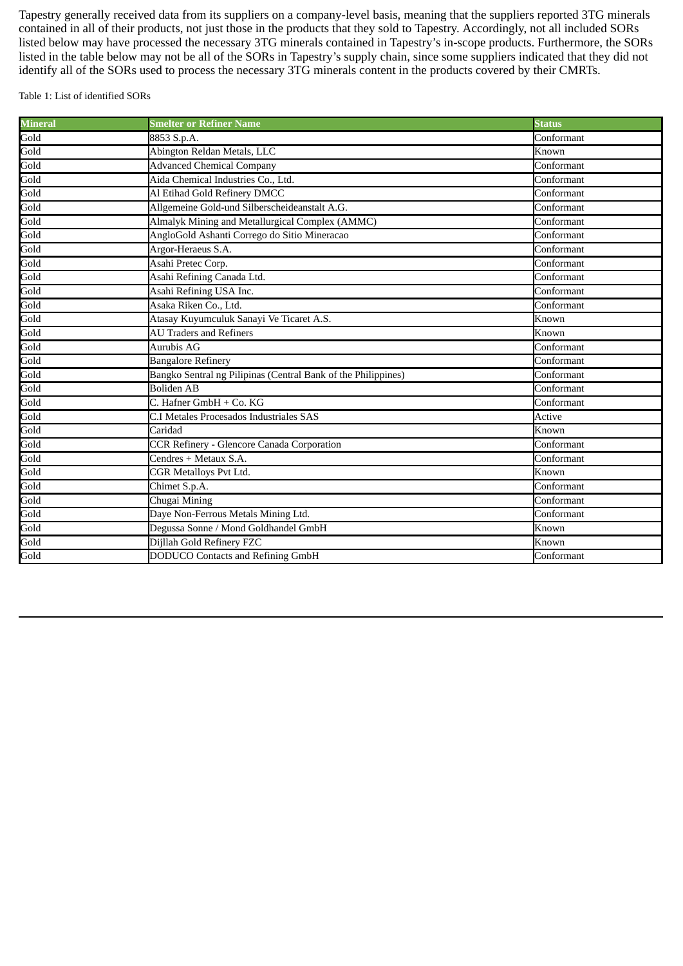Tapestry generally received data from its suppliers on a company-level basis, meaning that the suppliers reported 3TG minerals contained in all of their products, not just those in the products that they sold to Tapestry. Accordingly, not all included SORs listed below may have processed the necessary 3TG minerals contained in Tapestry's in-scope products. Furthermore, the SORs listed in the table below may not be all of the SORs in Tapestry's supply chain, since some suppliers indicated that they did not identify all of the SORs used to process the necessary 3TG minerals content in the products covered by their CMRTs.

Table 1: List of identified SORs

| Mineral | <b>Smelter or Refiner Name</b>                                | <b>Status</b>                     |
|---------|---------------------------------------------------------------|-----------------------------------|
| Gold    | 8853 S.p.A.                                                   | Conformant                        |
| Gold    | Abington Reldan Metals, LLC                                   | Known                             |
| Gold    | <b>Advanced Chemical Company</b>                              | $\overline{\text{Conform}}$ ant   |
| Gold    | Aida Chemical Industries Co., Ltd.                            | Conformant                        |
| Gold    | Al Etihad Gold Refinery DMCC                                  | Conformant                        |
| Gold    | Allgemeine Gold-und Silberscheideanstalt A.G.                 | Conformant                        |
| Gold    | Almalyk Mining and Metallurgical Complex (AMMC)               | Conformant                        |
| Gold    | AngloGold Ashanti Corrego do Sitio Mineracao                  | Conformant                        |
| Gold    | Argor-Heraeus S.A.                                            | Conformant                        |
| Gold    | Asahi Pretec Corp.                                            | Conformant                        |
| Gold    | Asahi Refining Canada Ltd.                                    | $\overline{\mathrm{Conform}}$ ant |
| Gold    | Asahi Refining USA Inc.                                       | Conformant                        |
| Gold    | Asaka Riken Co., Ltd.                                         | Conformant                        |
| Gold    | Atasay Kuyumculuk Sanayi Ve Ticaret A.S.                      | Known                             |
| Gold    | <b>AU Traders and Refiners</b>                                | Known                             |
| Gold    | <b>Aurubis AG</b>                                             | Conformant                        |
| Gold    | <b>Bangalore Refinery</b>                                     | Conformant                        |
| Gold    | Bangko Sentral ng Pilipinas (Central Bank of the Philippines) | Conformant                        |
| Gold    | <b>Boliden AB</b>                                             | Conformant                        |
| Gold    | C. Hafner GmbH + Co. KG                                       | Conformant                        |
| Gold    | C.I Metales Procesados Industriales SAS                       | Active                            |
| Gold    | Caridad                                                       | Known                             |
| Gold    | <b>CCR Refinery - Glencore Canada Corporation</b>             | Conformant                        |
| Gold    | Cendres + Metaux S.A.                                         | Conformant                        |
| Gold    | <b>CGR Metalloys Pvt Ltd.</b>                                 | Known                             |
| Gold    | Chimet S.p.A.                                                 | Conformant                        |
| Gold    | Chugai Mining                                                 | Conformant                        |
| Gold    | Daye Non-Ferrous Metals Mining Ltd.                           | Conformant                        |
| Gold    | Degussa Sonne / Mond Goldhandel GmbH                          | Known                             |
| Gold    | Dijllah Gold Refinery FZC                                     | Known                             |
| Gold    | <b>DODUCO Contacts and Refining GmbH</b>                      | Conformant                        |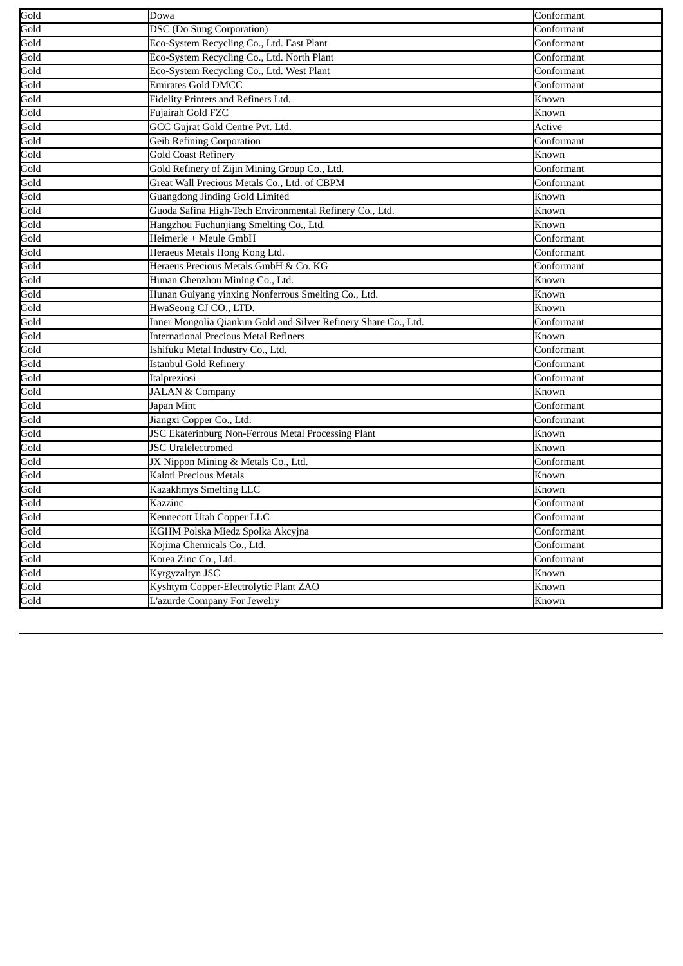| Gold<br><b>DSC</b> (Do Sung Corporation)<br>Conformant<br>Gold<br>Eco-System Recycling Co., Ltd. East Plant<br>Conformant<br>Gold<br>Eco-System Recycling Co., Ltd. North Plant<br>Conformant<br>Gold<br>Eco-System Recycling Co., Ltd. West Plant<br>Conformant<br>Gold<br><b>Emirates Gold DMCC</b><br>Conformant<br>Gold<br>Fidelity Printers and Refiners Ltd.<br>Known<br>Gold<br>Fujairah Gold FZC<br>Known<br>Gold<br>GCC Gujrat Gold Centre Pvt. Ltd.<br>Active<br>Gold<br><b>Geib Refining Corporation</b><br>Conformant<br>Gold<br><b>Gold Coast Refinery</b><br>Known<br>Gold<br>Gold Refinery of Zijin Mining Group Co., Ltd.<br>Conformant<br>Gold<br>Great Wall Precious Metals Co., Ltd. of CBPM<br>Conformant<br>Gold<br><b>Guangdong Jinding Gold Limited</b><br>Known<br>Guoda Safina High-Tech Environmental Refinery Co., Ltd.<br>Known<br>Gold<br>Hangzhou Fuchunjiang Smelting Co., Ltd.<br>Known<br>Gold<br>Heimerle + Meule GmbH<br>Conformant<br>Gold<br>Heraeus Metals Hong Kong Ltd.<br>Conformant<br>Gold<br>Heraeus Precious Metals GmbH & Co. KG<br>Conformant<br>Gold<br>Hunan Chenzhou Mining Co., Ltd.<br>Known<br>Gold<br>Hunan Guiyang yinxing Nonferrous Smelting Co., Ltd.<br>Known<br>Gold<br>HwaSeong CJ CO., LTD.<br>Known<br>Inner Mongolia Qiankun Gold and Silver Refinery Share Co., Ltd.<br>Conformant<br><b>International Precious Metal Refiners</b><br>Known<br>Ishifuku Metal Industry Co., Ltd.<br>Conformant<br>Istanbul Gold Refinery<br>Conformant<br>Italpreziosi<br>Conformant<br><b>JALAN &amp; Company</b><br>Known<br>Japan Mint<br>Conformant<br>Gold<br>Jiangxi Copper Co., Ltd.<br>Conformant<br>Gold<br><b>JSC Ekaterinburg Non-Ferrous Metal Processing Plant</b><br>Known<br>Gold<br><b>JSC</b> Uralelectromed<br>Known<br>Gold<br>JX Nippon Mining & Metals Co., Ltd.<br>Conformant<br>Gold<br>Kaloti Precious Metals<br>Known<br>Gold<br>Kazakhmys Smelting LLC<br>Known<br>Gold<br>Conformant<br>Kazzinc<br>Kennecott Utah Copper LLC<br>Conformant<br>Gold<br>KGHM Polska Miedz Spolka Akcyjna<br>Conformant<br>Gold<br>Kojima Chemicals Co., Ltd.<br>Conformant<br>Korea Zinc Co., Ltd.<br>Conformant |            |      |      |
|----------------------------------------------------------------------------------------------------------------------------------------------------------------------------------------------------------------------------------------------------------------------------------------------------------------------------------------------------------------------------------------------------------------------------------------------------------------------------------------------------------------------------------------------------------------------------------------------------------------------------------------------------------------------------------------------------------------------------------------------------------------------------------------------------------------------------------------------------------------------------------------------------------------------------------------------------------------------------------------------------------------------------------------------------------------------------------------------------------------------------------------------------------------------------------------------------------------------------------------------------------------------------------------------------------------------------------------------------------------------------------------------------------------------------------------------------------------------------------------------------------------------------------------------------------------------------------------------------------------------------------------------------------------------------------------------------------------------------------------------------------------------------------------------------------------------------------------------------------------------------------------------------------------------------------------------------------------------------------------------------------------------------------------------------------------------------------------------------------------------------------------------------------------------------|------------|------|------|
| Gold<br>Gold<br>Gold<br>Gold<br>Gold<br>Gold<br>Gold<br>Gold<br>Gold<br>Gold                                                                                                                                                                                                                                                                                                                                                                                                                                                                                                                                                                                                                                                                                                                                                                                                                                                                                                                                                                                                                                                                                                                                                                                                                                                                                                                                                                                                                                                                                                                                                                                                                                                                                                                                                                                                                                                                                                                                                                                                                                                                                               | Conformant | Dowa | Gold |
|                                                                                                                                                                                                                                                                                                                                                                                                                                                                                                                                                                                                                                                                                                                                                                                                                                                                                                                                                                                                                                                                                                                                                                                                                                                                                                                                                                                                                                                                                                                                                                                                                                                                                                                                                                                                                                                                                                                                                                                                                                                                                                                                                                            |            |      |      |
|                                                                                                                                                                                                                                                                                                                                                                                                                                                                                                                                                                                                                                                                                                                                                                                                                                                                                                                                                                                                                                                                                                                                                                                                                                                                                                                                                                                                                                                                                                                                                                                                                                                                                                                                                                                                                                                                                                                                                                                                                                                                                                                                                                            |            |      |      |
|                                                                                                                                                                                                                                                                                                                                                                                                                                                                                                                                                                                                                                                                                                                                                                                                                                                                                                                                                                                                                                                                                                                                                                                                                                                                                                                                                                                                                                                                                                                                                                                                                                                                                                                                                                                                                                                                                                                                                                                                                                                                                                                                                                            |            |      |      |
|                                                                                                                                                                                                                                                                                                                                                                                                                                                                                                                                                                                                                                                                                                                                                                                                                                                                                                                                                                                                                                                                                                                                                                                                                                                                                                                                                                                                                                                                                                                                                                                                                                                                                                                                                                                                                                                                                                                                                                                                                                                                                                                                                                            |            |      |      |
|                                                                                                                                                                                                                                                                                                                                                                                                                                                                                                                                                                                                                                                                                                                                                                                                                                                                                                                                                                                                                                                                                                                                                                                                                                                                                                                                                                                                                                                                                                                                                                                                                                                                                                                                                                                                                                                                                                                                                                                                                                                                                                                                                                            |            |      |      |
|                                                                                                                                                                                                                                                                                                                                                                                                                                                                                                                                                                                                                                                                                                                                                                                                                                                                                                                                                                                                                                                                                                                                                                                                                                                                                                                                                                                                                                                                                                                                                                                                                                                                                                                                                                                                                                                                                                                                                                                                                                                                                                                                                                            |            |      |      |
|                                                                                                                                                                                                                                                                                                                                                                                                                                                                                                                                                                                                                                                                                                                                                                                                                                                                                                                                                                                                                                                                                                                                                                                                                                                                                                                                                                                                                                                                                                                                                                                                                                                                                                                                                                                                                                                                                                                                                                                                                                                                                                                                                                            |            |      |      |
|                                                                                                                                                                                                                                                                                                                                                                                                                                                                                                                                                                                                                                                                                                                                                                                                                                                                                                                                                                                                                                                                                                                                                                                                                                                                                                                                                                                                                                                                                                                                                                                                                                                                                                                                                                                                                                                                                                                                                                                                                                                                                                                                                                            |            |      |      |
|                                                                                                                                                                                                                                                                                                                                                                                                                                                                                                                                                                                                                                                                                                                                                                                                                                                                                                                                                                                                                                                                                                                                                                                                                                                                                                                                                                                                                                                                                                                                                                                                                                                                                                                                                                                                                                                                                                                                                                                                                                                                                                                                                                            |            |      |      |
|                                                                                                                                                                                                                                                                                                                                                                                                                                                                                                                                                                                                                                                                                                                                                                                                                                                                                                                                                                                                                                                                                                                                                                                                                                                                                                                                                                                                                                                                                                                                                                                                                                                                                                                                                                                                                                                                                                                                                                                                                                                                                                                                                                            |            |      |      |
|                                                                                                                                                                                                                                                                                                                                                                                                                                                                                                                                                                                                                                                                                                                                                                                                                                                                                                                                                                                                                                                                                                                                                                                                                                                                                                                                                                                                                                                                                                                                                                                                                                                                                                                                                                                                                                                                                                                                                                                                                                                                                                                                                                            |            |      |      |
|                                                                                                                                                                                                                                                                                                                                                                                                                                                                                                                                                                                                                                                                                                                                                                                                                                                                                                                                                                                                                                                                                                                                                                                                                                                                                                                                                                                                                                                                                                                                                                                                                                                                                                                                                                                                                                                                                                                                                                                                                                                                                                                                                                            |            |      |      |
|                                                                                                                                                                                                                                                                                                                                                                                                                                                                                                                                                                                                                                                                                                                                                                                                                                                                                                                                                                                                                                                                                                                                                                                                                                                                                                                                                                                                                                                                                                                                                                                                                                                                                                                                                                                                                                                                                                                                                                                                                                                                                                                                                                            |            |      |      |
|                                                                                                                                                                                                                                                                                                                                                                                                                                                                                                                                                                                                                                                                                                                                                                                                                                                                                                                                                                                                                                                                                                                                                                                                                                                                                                                                                                                                                                                                                                                                                                                                                                                                                                                                                                                                                                                                                                                                                                                                                                                                                                                                                                            |            |      |      |
|                                                                                                                                                                                                                                                                                                                                                                                                                                                                                                                                                                                                                                                                                                                                                                                                                                                                                                                                                                                                                                                                                                                                                                                                                                                                                                                                                                                                                                                                                                                                                                                                                                                                                                                                                                                                                                                                                                                                                                                                                                                                                                                                                                            |            |      |      |
|                                                                                                                                                                                                                                                                                                                                                                                                                                                                                                                                                                                                                                                                                                                                                                                                                                                                                                                                                                                                                                                                                                                                                                                                                                                                                                                                                                                                                                                                                                                                                                                                                                                                                                                                                                                                                                                                                                                                                                                                                                                                                                                                                                            |            |      |      |
|                                                                                                                                                                                                                                                                                                                                                                                                                                                                                                                                                                                                                                                                                                                                                                                                                                                                                                                                                                                                                                                                                                                                                                                                                                                                                                                                                                                                                                                                                                                                                                                                                                                                                                                                                                                                                                                                                                                                                                                                                                                                                                                                                                            |            |      |      |
|                                                                                                                                                                                                                                                                                                                                                                                                                                                                                                                                                                                                                                                                                                                                                                                                                                                                                                                                                                                                                                                                                                                                                                                                                                                                                                                                                                                                                                                                                                                                                                                                                                                                                                                                                                                                                                                                                                                                                                                                                                                                                                                                                                            |            |      |      |
|                                                                                                                                                                                                                                                                                                                                                                                                                                                                                                                                                                                                                                                                                                                                                                                                                                                                                                                                                                                                                                                                                                                                                                                                                                                                                                                                                                                                                                                                                                                                                                                                                                                                                                                                                                                                                                                                                                                                                                                                                                                                                                                                                                            |            |      |      |
|                                                                                                                                                                                                                                                                                                                                                                                                                                                                                                                                                                                                                                                                                                                                                                                                                                                                                                                                                                                                                                                                                                                                                                                                                                                                                                                                                                                                                                                                                                                                                                                                                                                                                                                                                                                                                                                                                                                                                                                                                                                                                                                                                                            |            |      |      |
|                                                                                                                                                                                                                                                                                                                                                                                                                                                                                                                                                                                                                                                                                                                                                                                                                                                                                                                                                                                                                                                                                                                                                                                                                                                                                                                                                                                                                                                                                                                                                                                                                                                                                                                                                                                                                                                                                                                                                                                                                                                                                                                                                                            |            |      |      |
|                                                                                                                                                                                                                                                                                                                                                                                                                                                                                                                                                                                                                                                                                                                                                                                                                                                                                                                                                                                                                                                                                                                                                                                                                                                                                                                                                                                                                                                                                                                                                                                                                                                                                                                                                                                                                                                                                                                                                                                                                                                                                                                                                                            |            |      |      |
|                                                                                                                                                                                                                                                                                                                                                                                                                                                                                                                                                                                                                                                                                                                                                                                                                                                                                                                                                                                                                                                                                                                                                                                                                                                                                                                                                                                                                                                                                                                                                                                                                                                                                                                                                                                                                                                                                                                                                                                                                                                                                                                                                                            |            |      |      |
|                                                                                                                                                                                                                                                                                                                                                                                                                                                                                                                                                                                                                                                                                                                                                                                                                                                                                                                                                                                                                                                                                                                                                                                                                                                                                                                                                                                                                                                                                                                                                                                                                                                                                                                                                                                                                                                                                                                                                                                                                                                                                                                                                                            |            |      |      |
|                                                                                                                                                                                                                                                                                                                                                                                                                                                                                                                                                                                                                                                                                                                                                                                                                                                                                                                                                                                                                                                                                                                                                                                                                                                                                                                                                                                                                                                                                                                                                                                                                                                                                                                                                                                                                                                                                                                                                                                                                                                                                                                                                                            |            |      |      |
|                                                                                                                                                                                                                                                                                                                                                                                                                                                                                                                                                                                                                                                                                                                                                                                                                                                                                                                                                                                                                                                                                                                                                                                                                                                                                                                                                                                                                                                                                                                                                                                                                                                                                                                                                                                                                                                                                                                                                                                                                                                                                                                                                                            |            |      |      |
|                                                                                                                                                                                                                                                                                                                                                                                                                                                                                                                                                                                                                                                                                                                                                                                                                                                                                                                                                                                                                                                                                                                                                                                                                                                                                                                                                                                                                                                                                                                                                                                                                                                                                                                                                                                                                                                                                                                                                                                                                                                                                                                                                                            |            |      |      |
|                                                                                                                                                                                                                                                                                                                                                                                                                                                                                                                                                                                                                                                                                                                                                                                                                                                                                                                                                                                                                                                                                                                                                                                                                                                                                                                                                                                                                                                                                                                                                                                                                                                                                                                                                                                                                                                                                                                                                                                                                                                                                                                                                                            |            |      |      |
|                                                                                                                                                                                                                                                                                                                                                                                                                                                                                                                                                                                                                                                                                                                                                                                                                                                                                                                                                                                                                                                                                                                                                                                                                                                                                                                                                                                                                                                                                                                                                                                                                                                                                                                                                                                                                                                                                                                                                                                                                                                                                                                                                                            |            |      |      |
|                                                                                                                                                                                                                                                                                                                                                                                                                                                                                                                                                                                                                                                                                                                                                                                                                                                                                                                                                                                                                                                                                                                                                                                                                                                                                                                                                                                                                                                                                                                                                                                                                                                                                                                                                                                                                                                                                                                                                                                                                                                                                                                                                                            |            |      |      |
|                                                                                                                                                                                                                                                                                                                                                                                                                                                                                                                                                                                                                                                                                                                                                                                                                                                                                                                                                                                                                                                                                                                                                                                                                                                                                                                                                                                                                                                                                                                                                                                                                                                                                                                                                                                                                                                                                                                                                                                                                                                                                                                                                                            |            |      |      |
|                                                                                                                                                                                                                                                                                                                                                                                                                                                                                                                                                                                                                                                                                                                                                                                                                                                                                                                                                                                                                                                                                                                                                                                                                                                                                                                                                                                                                                                                                                                                                                                                                                                                                                                                                                                                                                                                                                                                                                                                                                                                                                                                                                            |            |      |      |
|                                                                                                                                                                                                                                                                                                                                                                                                                                                                                                                                                                                                                                                                                                                                                                                                                                                                                                                                                                                                                                                                                                                                                                                                                                                                                                                                                                                                                                                                                                                                                                                                                                                                                                                                                                                                                                                                                                                                                                                                                                                                                                                                                                            |            |      |      |
|                                                                                                                                                                                                                                                                                                                                                                                                                                                                                                                                                                                                                                                                                                                                                                                                                                                                                                                                                                                                                                                                                                                                                                                                                                                                                                                                                                                                                                                                                                                                                                                                                                                                                                                                                                                                                                                                                                                                                                                                                                                                                                                                                                            |            |      |      |
|                                                                                                                                                                                                                                                                                                                                                                                                                                                                                                                                                                                                                                                                                                                                                                                                                                                                                                                                                                                                                                                                                                                                                                                                                                                                                                                                                                                                                                                                                                                                                                                                                                                                                                                                                                                                                                                                                                                                                                                                                                                                                                                                                                            |            |      |      |
|                                                                                                                                                                                                                                                                                                                                                                                                                                                                                                                                                                                                                                                                                                                                                                                                                                                                                                                                                                                                                                                                                                                                                                                                                                                                                                                                                                                                                                                                                                                                                                                                                                                                                                                                                                                                                                                                                                                                                                                                                                                                                                                                                                            |            |      |      |
|                                                                                                                                                                                                                                                                                                                                                                                                                                                                                                                                                                                                                                                                                                                                                                                                                                                                                                                                                                                                                                                                                                                                                                                                                                                                                                                                                                                                                                                                                                                                                                                                                                                                                                                                                                                                                                                                                                                                                                                                                                                                                                                                                                            |            |      |      |
|                                                                                                                                                                                                                                                                                                                                                                                                                                                                                                                                                                                                                                                                                                                                                                                                                                                                                                                                                                                                                                                                                                                                                                                                                                                                                                                                                                                                                                                                                                                                                                                                                                                                                                                                                                                                                                                                                                                                                                                                                                                                                                                                                                            |            |      |      |
|                                                                                                                                                                                                                                                                                                                                                                                                                                                                                                                                                                                                                                                                                                                                                                                                                                                                                                                                                                                                                                                                                                                                                                                                                                                                                                                                                                                                                                                                                                                                                                                                                                                                                                                                                                                                                                                                                                                                                                                                                                                                                                                                                                            |            |      |      |
| Gold<br><b>Kyrgyzaltyn JSC</b><br>Known                                                                                                                                                                                                                                                                                                                                                                                                                                                                                                                                                                                                                                                                                                                                                                                                                                                                                                                                                                                                                                                                                                                                                                                                                                                                                                                                                                                                                                                                                                                                                                                                                                                                                                                                                                                                                                                                                                                                                                                                                                                                                                                                    |            |      |      |
| Gold<br>Kyshtym Copper-Electrolytic Plant ZAO<br>Known                                                                                                                                                                                                                                                                                                                                                                                                                                                                                                                                                                                                                                                                                                                                                                                                                                                                                                                                                                                                                                                                                                                                                                                                                                                                                                                                                                                                                                                                                                                                                                                                                                                                                                                                                                                                                                                                                                                                                                                                                                                                                                                     |            |      |      |
| Gold<br>L'azurde Company For Jewelry<br>Known                                                                                                                                                                                                                                                                                                                                                                                                                                                                                                                                                                                                                                                                                                                                                                                                                                                                                                                                                                                                                                                                                                                                                                                                                                                                                                                                                                                                                                                                                                                                                                                                                                                                                                                                                                                                                                                                                                                                                                                                                                                                                                                              |            |      |      |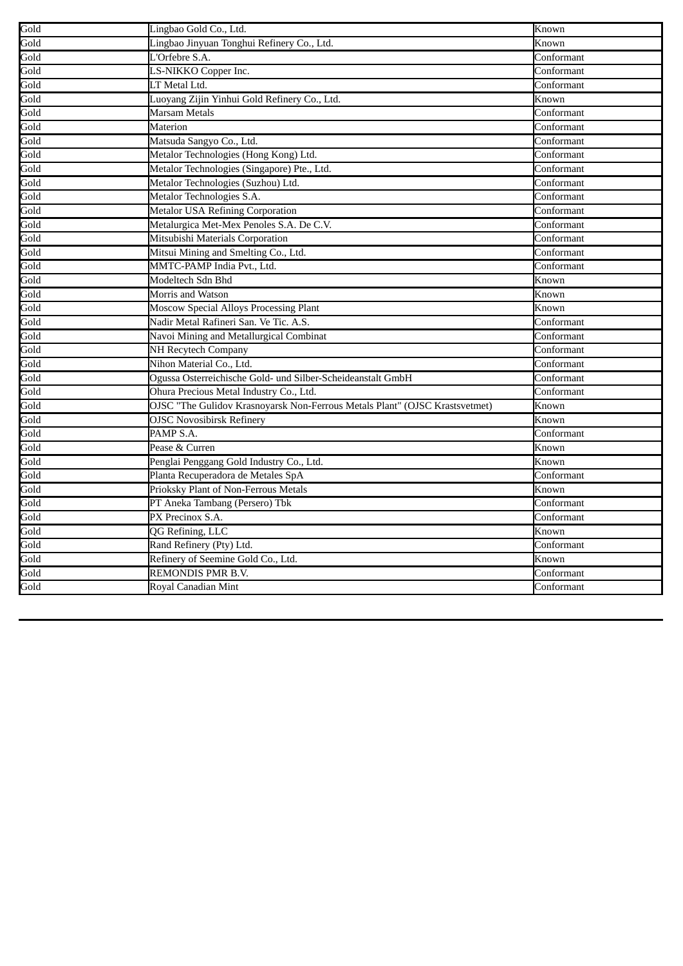| Gold | Lingbao Gold Co., Ltd.                                                      | Known      |
|------|-----------------------------------------------------------------------------|------------|
| Gold | Lingbao Jinyuan Tonghui Refinery Co., Ltd.                                  | Known      |
| Gold | L'Orfebre S.A.                                                              | Conformant |
| Gold | LS-NIKKO Copper Inc.                                                        | Conformant |
| Gold | LT Metal Ltd.                                                               | Conformant |
| Gold | Luoyang Zijin Yinhui Gold Refinery Co., Ltd.                                | Known      |
| Gold | Marsam Metals                                                               | Conformant |
| Gold | <b>Materion</b>                                                             | Conformant |
| Gold | Matsuda Sangyo Co., Ltd.                                                    | Conformant |
| Gold | Metalor Technologies (Hong Kong) Ltd.                                       | Conformant |
| Gold | Metalor Technologies (Singapore) Pte., Ltd.                                 | Conformant |
| Gold | Metalor Technologies (Suzhou) Ltd.                                          | Conformant |
| Gold | Metalor Technologies S.A.                                                   | Conformant |
| Gold | <b>Metalor USA Refining Corporation</b>                                     | Conformant |
| Gold | Metalurgica Met-Mex Penoles S.A. De C.V.                                    | Conformant |
| Gold | Mitsubishi Materials Corporation                                            | Conformant |
| Gold | Mitsui Mining and Smelting Co., Ltd.                                        | Conformant |
| Gold | MMTC-PAMP India Pvt., Ltd.                                                  | Conformant |
| Gold | Modeltech Sdn Bhd                                                           | Known      |
| Gold | Morris and Watson                                                           | Known      |
| Gold | <b>Moscow Special Alloys Processing Plant</b>                               | Known      |
| Gold | Nadir Metal Rafineri San. Ve Tic. A.S.                                      | Conformant |
| Gold | Navoi Mining and Metallurgical Combinat                                     | Conformant |
| Gold | NH Recytech Company                                                         | Conformant |
| Gold | Nihon Material Co., Ltd.                                                    | Conformant |
| Gold | Ogussa Osterreichische Gold- und Silber-Scheideanstalt GmbH                 | Conformant |
| Gold | Ohura Precious Metal Industry Co., Ltd.                                     | Conformant |
| Gold | OJSC "The Gulidov Krasnoyarsk Non-Ferrous Metals Plant" (OJSC Krastsvetmet) | Known      |
| Gold | <b>OJSC Novosibirsk Refinery</b>                                            | Known      |
| Gold | PAMP S.A.                                                                   | Conformant |
| Gold | Pease & Curren                                                              | Known      |
| Gold | Penglai Penggang Gold Industry Co., Ltd.                                    | Known      |
| Gold | Planta Recuperadora de Metales SpA                                          | Conformant |
| Gold | Prioksky Plant of Non-Ferrous Metals                                        | Known      |
| Gold | PT Aneka Tambang (Persero) Tbk                                              | Conformant |
| Gold | PX Precinox S.A.                                                            | Conformant |
| Gold | QG Refining, LLC                                                            | Known      |
| Gold | Rand Refinery (Pty) Ltd.                                                    | Conformant |
| Gold | Refinery of Seemine Gold Co., Ltd.                                          | Known      |
| Gold | REMONDIS PMR B.V.                                                           | Conformant |
| Gold | Royal Canadian Mint                                                         | Conformant |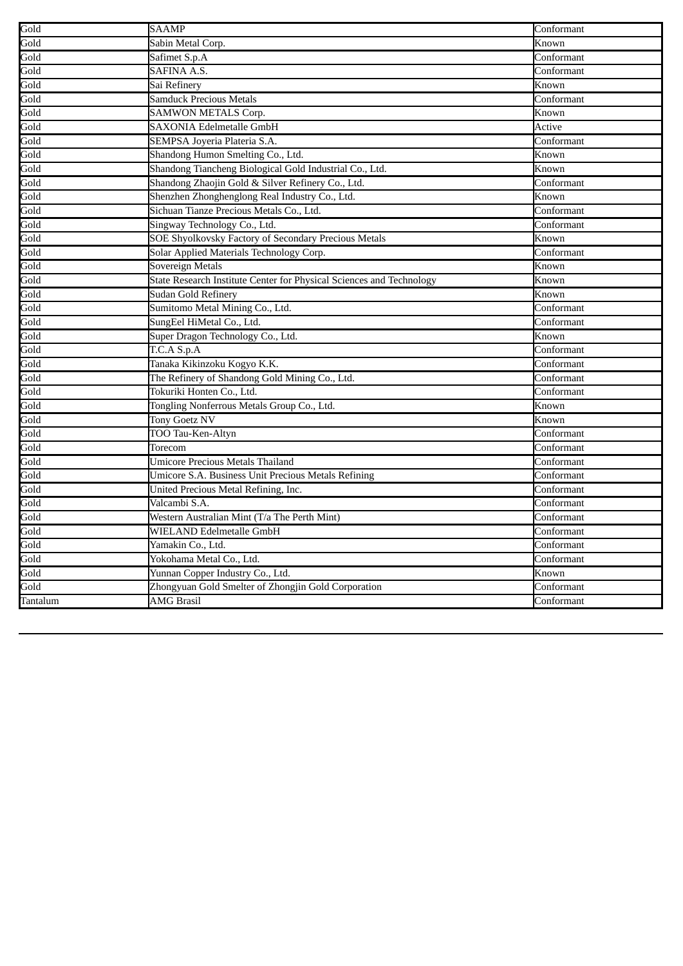| Gold         | <b>SAAMP</b>                                                         | Conformant |
|--------------|----------------------------------------------------------------------|------------|
| Gold         | Sabin Metal Corp.                                                    | Known      |
| Gold         | Safimet S.p.A                                                        | Conformant |
| Gold         | SAFINA A.S.                                                          | Conformant |
| Gold         | Sai Refinery                                                         | Known      |
| Gold         | Samduck Precious Metals                                              | Conformant |
| Gold         | <b>SAMWON METALS Corp.</b>                                           | Known      |
| Gold         | SAXONIA Edelmetalle GmbH                                             | Active     |
| Gold         | SEMPSA Joyeria Plateria S.A.                                         | Conformant |
| Gold         | Shandong Humon Smelting Co., Ltd.                                    | Known      |
| Gold         | Shandong Tiancheng Biological Gold Industrial Co., Ltd.              | Known      |
| Gold         | Shandong Zhaojin Gold & Silver Refinery Co., Ltd.                    | Conformant |
| Gold         | Shenzhen Zhonghenglong Real Industry Co., Ltd.                       | Known      |
| Gold         | Sichuan Tianze Precious Metals Co., Ltd.                             | Conformant |
| Gold         | Singway Technology Co., Ltd.                                         | Conformant |
| Gold         | SOE Shyolkovsky Factory of Secondary Precious Metals                 | Known      |
| Gold         | Solar Applied Materials Technology Corp.                             | Conformant |
| Gold         | Sovereign Metals                                                     | Known      |
| Gold         | State Research Institute Center for Physical Sciences and Technology | Known      |
| Gold         | <b>Sudan Gold Refinery</b>                                           | Known      |
| Gold         | Sumitomo Metal Mining Co., Ltd.                                      | Conformant |
| Gold         | SungEel HiMetal Co., Ltd.                                            | Conformant |
| Gold         | Super Dragon Technology Co., Ltd.                                    | Known      |
| Gold         | T.C.A S.p.A                                                          | Conformant |
| Gold         | Tanaka Kikinzoku Kogyo K.K.                                          | Conformant |
| Gold         | The Refinery of Shandong Gold Mining Co., Ltd.                       | Conformant |
| Gold         | Tokuriki Honten Co., Ltd.                                            | Conformant |
| Gold         | Tongling Nonferrous Metals Group Co., Ltd.                           | Known      |
| Gold         | <b>Tony Goetz NV</b>                                                 | Known      |
| Gold<br>Gold | TOO Tau-Ken-Altyn                                                    | Conformant |
|              | Torecom                                                              | Conformant |
| Gold         | <b>Umicore Precious Metals Thailand</b>                              | Conformant |
| Gold         | Umicore S.A. Business Unit Precious Metals Refining                  | Conformant |
| Gold         | United Precious Metal Refining, Inc.                                 | Conformant |
| Gold         | Valcambi S.A.                                                        | Conformant |
| Gold         | Western Australian Mint (T/a The Perth Mint)                         | Conformant |
| Gold         | WIELAND Edelmetalle GmbH                                             | Conformant |
| Gold         | Yamakin Co., Ltd.                                                    | Conformant |
| Gold         | Yokohama Metal Co., Ltd.                                             | Conformant |
| Gold         | Yunnan Copper Industry Co., Ltd.                                     | Known      |
| Gold         | Zhongyuan Gold Smelter of Zhongjin Gold Corporation                  | Conformant |
| Tantalum     | <b>AMG Brasil</b>                                                    | Conformant |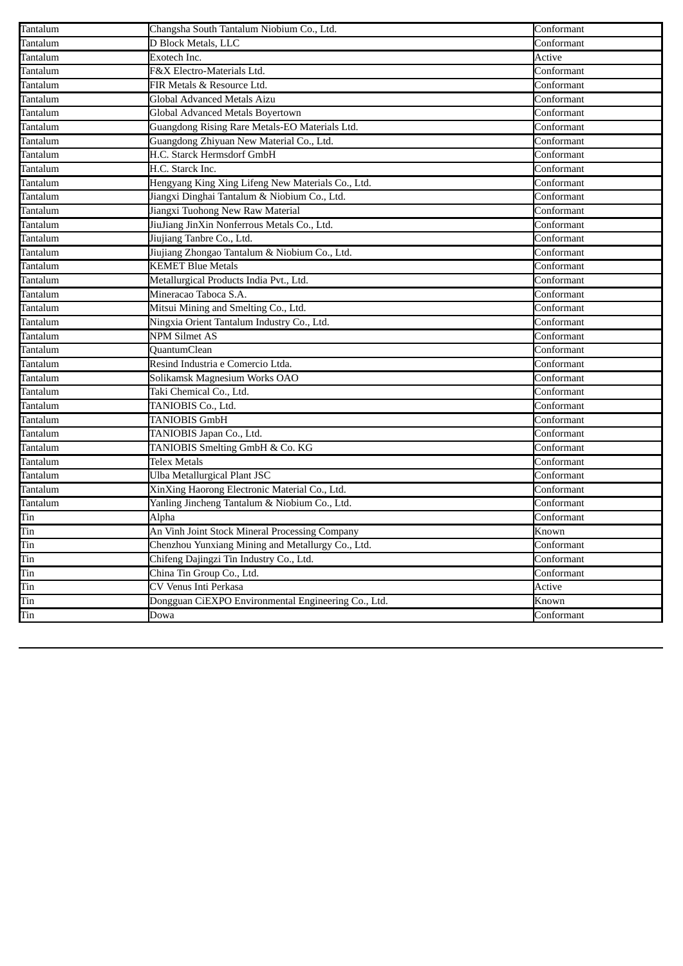| Tantalum        | Changsha South Tantalum Niobium Co., Ltd.           | Conformant                     |
|-----------------|-----------------------------------------------------|--------------------------------|
| Tantalum        | D Block Metals, LLC                                 | Conformant                     |
| Tantalum        | Exotech Inc.                                        | Active                         |
| Tantalum        | F&X Electro-Materials Ltd.                          | Conformant                     |
| Tantalum        | FIR Metals & Resource Ltd.                          | $\overline{\text{Conformant}}$ |
| Tantalum        | <b>Global Advanced Metals Aizu</b>                  | Conformant                     |
| Tantalum        | Global Advanced Metals Boyertown                    | Conformant                     |
| Tantalum        | Guangdong Rising Rare Metals-EO Materials Ltd.      | Conformant                     |
| Tantalum        | Guangdong Zhiyuan New Material Co., Ltd.            | Conformant                     |
| Tantalum        | H.C. Starck Hermsdorf GmbH                          | Conformant                     |
| Tantalum        | H.C. Starck Inc.                                    | Conformant                     |
| Tantalum        | Hengyang King Xing Lifeng New Materials Co., Ltd.   | Conformant                     |
| Tantalum        | Jiangxi Dinghai Tantalum & Niobium Co., Ltd.        | Conformant                     |
| Tantalum        | Jiangxi Tuohong New Raw Material                    | Conformant                     |
| <b>Tantalum</b> | JiuJiang JinXin Nonferrous Metals Co., Ltd.         | Conformant                     |
| <b>Tantalum</b> | Jiujiang Tanbre Co., Ltd.                           | Conformant                     |
| Tantalum        | Jiujiang Zhongao Tantalum & Niobium Co., Ltd.       | Conformant                     |
| Tantalum        | <b>KEMET Blue Metals</b>                            | Conformant                     |
| Tantalum        | Metallurgical Products India Pvt., Ltd.             | Conformant                     |
| Tantalum        | Mineracao Taboca S.A.                               | Conformant                     |
| Tantalum        | Mitsui Mining and Smelting Co., Ltd.                | Conformant                     |
| Tantalum        | Ningxia Orient Tantalum Industry Co., Ltd.          | Conformant                     |
| Tantalum        | <b>NPM Silmet AS</b>                                | Conformant                     |
| Tantalum        | QuantumClean                                        | Conformant                     |
| Tantalum        | Resind Industria e Comercio Ltda.                   | Conformant                     |
| Tantalum        | Solikamsk Magnesium Works OAO                       | Conformant                     |
| Tantalum        | Taki Chemical Co., Ltd.                             | Conformant                     |
| Tantalum        | TANIOBIS Co., Ltd.                                  | Conformant                     |
| Tantalum        | <b>TANIOBIS GmbH</b>                                | Conformant                     |
| Tantalum        | TANIOBIS Japan Co., Ltd.                            | Conformant                     |
| Tantalum        | TANIOBIS Smelting GmbH & Co. KG                     | Conformant                     |
| Tantalum        | <b>Telex Metals</b>                                 | Conformant                     |
| <b>Tantalum</b> | Ulba Metallurgical Plant JSC                        | Conformant                     |
| Tantalum        | XinXing Haorong Electronic Material Co., Ltd.       | Conformant                     |
| Tantalum        | Yanling Jincheng Tantalum & Niobium Co., Ltd.       | Conformant                     |
| Tin             | Alpha                                               | Conformant                     |
| Tin             | An Vinh Joint Stock Mineral Processing Company      | Known                          |
| Tin             | Chenzhou Yunxiang Mining and Metallurgy Co., Ltd.   | Conformant                     |
| Tin             | Chifeng Dajingzi Tin Industry Co., Ltd.             | Conformant                     |
| Tin             | China Tin Group Co., Ltd.                           | Conformant                     |
| Tin             | CV Venus Inti Perkasa                               | Active                         |
| Tin             | Dongguan CiEXPO Environmental Engineering Co., Ltd. | Known                          |
| Tin             | Dowa                                                | Conformant                     |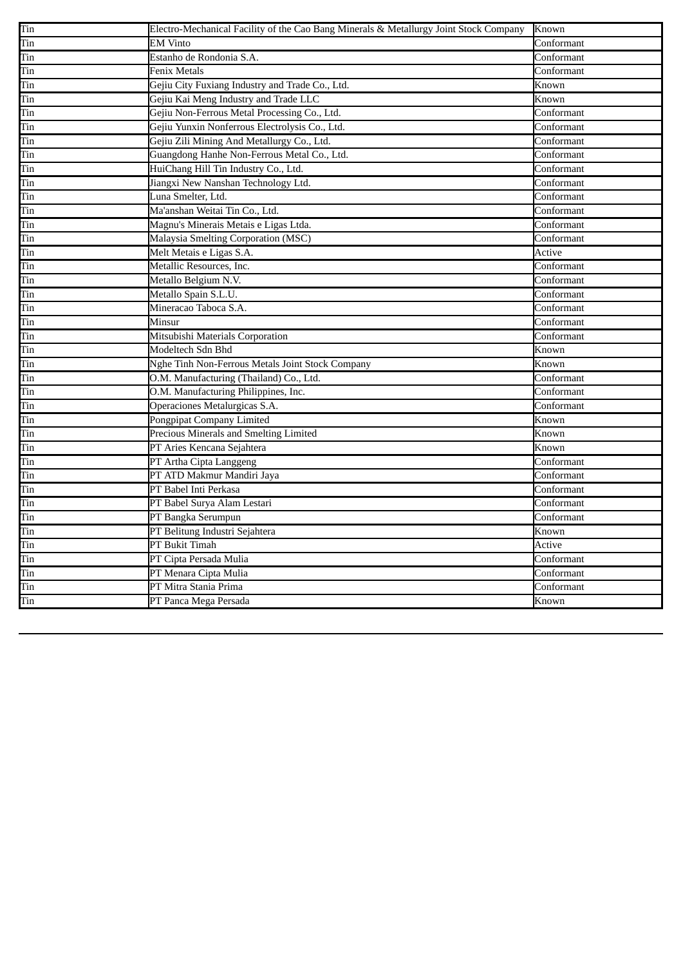| Tin<br><b>EM Vinto</b><br>Conformant<br>Tin<br>Estanho de Rondonia S.A.<br>Conformant<br>Fenix Metals<br>Conformant<br>Tin<br>Gejiu City Fuxiang Industry and Trade Co., Ltd.<br>Tin<br>Known<br>Gejiu Kai Meng Industry and Trade LLC<br>Tin<br>Known<br>Gejiu Non-Ferrous Metal Processing Co., Ltd.<br>Tin<br>Conformant<br>Gejiu Yunxin Nonferrous Electrolysis Co., Ltd.<br>Conformant<br>Tin<br>Gejiu Zili Mining And Metallurgy Co., Ltd.<br>Tin<br>Conformant<br>Guangdong Hanhe Non-Ferrous Metal Co., Ltd.<br>Tin<br>Conformant<br>HuiChang Hill Tin Industry Co., Ltd.<br>Tin<br>Conformant<br>Jiangxi New Nanshan Technology Ltd.<br>Conformant<br>Tin | Tin | Electro-Mechanical Facility of the Cao Bang Minerals & Metallurgy Joint Stock Company | Known |
|--------------------------------------------------------------------------------------------------------------------------------------------------------------------------------------------------------------------------------------------------------------------------------------------------------------------------------------------------------------------------------------------------------------------------------------------------------------------------------------------------------------------------------------------------------------------------------------------------------------------------------------------------------------------|-----|---------------------------------------------------------------------------------------|-------|
|                                                                                                                                                                                                                                                                                                                                                                                                                                                                                                                                                                                                                                                                    |     |                                                                                       |       |
|                                                                                                                                                                                                                                                                                                                                                                                                                                                                                                                                                                                                                                                                    |     |                                                                                       |       |
|                                                                                                                                                                                                                                                                                                                                                                                                                                                                                                                                                                                                                                                                    |     |                                                                                       |       |
|                                                                                                                                                                                                                                                                                                                                                                                                                                                                                                                                                                                                                                                                    |     |                                                                                       |       |
|                                                                                                                                                                                                                                                                                                                                                                                                                                                                                                                                                                                                                                                                    |     |                                                                                       |       |
|                                                                                                                                                                                                                                                                                                                                                                                                                                                                                                                                                                                                                                                                    |     |                                                                                       |       |
|                                                                                                                                                                                                                                                                                                                                                                                                                                                                                                                                                                                                                                                                    |     |                                                                                       |       |
|                                                                                                                                                                                                                                                                                                                                                                                                                                                                                                                                                                                                                                                                    |     |                                                                                       |       |
|                                                                                                                                                                                                                                                                                                                                                                                                                                                                                                                                                                                                                                                                    |     |                                                                                       |       |
|                                                                                                                                                                                                                                                                                                                                                                                                                                                                                                                                                                                                                                                                    |     |                                                                                       |       |
|                                                                                                                                                                                                                                                                                                                                                                                                                                                                                                                                                                                                                                                                    |     |                                                                                       |       |
| Luna Smelter, Ltd.<br>Conformant<br>Tin                                                                                                                                                                                                                                                                                                                                                                                                                                                                                                                                                                                                                            |     |                                                                                       |       |
| Ma'anshan Weitai Tin Co., Ltd.<br>Tin<br>Conformant                                                                                                                                                                                                                                                                                                                                                                                                                                                                                                                                                                                                                |     |                                                                                       |       |
| Magnu's Minerais Metais e Ligas Ltda.<br>Conformant<br>Tin                                                                                                                                                                                                                                                                                                                                                                                                                                                                                                                                                                                                         |     |                                                                                       |       |
| Tin<br>Malaysia Smelting Corporation (MSC)<br>Conformant                                                                                                                                                                                                                                                                                                                                                                                                                                                                                                                                                                                                           |     |                                                                                       |       |
| Melt Metais e Ligas S.A.<br>Tin<br>Active                                                                                                                                                                                                                                                                                                                                                                                                                                                                                                                                                                                                                          |     |                                                                                       |       |
| Metallic Resources, Inc.<br>Tin<br>Conformant                                                                                                                                                                                                                                                                                                                                                                                                                                                                                                                                                                                                                      |     |                                                                                       |       |
| Metallo Belgium N.V.<br>Conformant<br>Tin                                                                                                                                                                                                                                                                                                                                                                                                                                                                                                                                                                                                                          |     |                                                                                       |       |
| Metallo Spain S.L.U.<br>Tin<br>Conformant                                                                                                                                                                                                                                                                                                                                                                                                                                                                                                                                                                                                                          |     |                                                                                       |       |
| Mineracao Taboca S.A.<br>Conformant<br>Tin                                                                                                                                                                                                                                                                                                                                                                                                                                                                                                                                                                                                                         |     |                                                                                       |       |
| Minsur<br>Tin<br>Conformant                                                                                                                                                                                                                                                                                                                                                                                                                                                                                                                                                                                                                                        |     |                                                                                       |       |
| Tin<br>Mitsubishi Materials Corporation<br>Conformant                                                                                                                                                                                                                                                                                                                                                                                                                                                                                                                                                                                                              |     |                                                                                       |       |
| Modeltech Sdn Bhd<br>Tin<br>Known                                                                                                                                                                                                                                                                                                                                                                                                                                                                                                                                                                                                                                  |     |                                                                                       |       |
| Nghe Tinh Non-Ferrous Metals Joint Stock Company<br>Tin<br>Known                                                                                                                                                                                                                                                                                                                                                                                                                                                                                                                                                                                                   |     |                                                                                       |       |
| O.M. Manufacturing (Thailand) Co., Ltd.<br>Conformant<br>Tin                                                                                                                                                                                                                                                                                                                                                                                                                                                                                                                                                                                                       |     |                                                                                       |       |
| Tin<br>O.M. Manufacturing Philippines, Inc.<br>Conformant                                                                                                                                                                                                                                                                                                                                                                                                                                                                                                                                                                                                          |     |                                                                                       |       |
| Operaciones Metalurgicas S.A.<br>Conformant<br>Tin                                                                                                                                                                                                                                                                                                                                                                                                                                                                                                                                                                                                                 |     |                                                                                       |       |
| Pongpipat Company Limited<br>Tin<br>Known                                                                                                                                                                                                                                                                                                                                                                                                                                                                                                                                                                                                                          |     |                                                                                       |       |
| Precious Minerals and Smelting Limited<br>Known<br>Tin                                                                                                                                                                                                                                                                                                                                                                                                                                                                                                                                                                                                             |     |                                                                                       |       |
| Tin<br>PT Aries Kencana Sejahtera<br>Known                                                                                                                                                                                                                                                                                                                                                                                                                                                                                                                                                                                                                         |     |                                                                                       |       |
| Tin<br>PT Artha Cipta Langgeng<br>Conformant                                                                                                                                                                                                                                                                                                                                                                                                                                                                                                                                                                                                                       |     |                                                                                       |       |
| PT ATD Makmur Mandiri Jaya<br>Conformant<br>Tin                                                                                                                                                                                                                                                                                                                                                                                                                                                                                                                                                                                                                    |     |                                                                                       |       |
| PT Babel Inti Perkasa<br>Conformant<br>Tin                                                                                                                                                                                                                                                                                                                                                                                                                                                                                                                                                                                                                         |     |                                                                                       |       |
| Tin<br>PT Babel Surya Alam Lestari<br>Conformant                                                                                                                                                                                                                                                                                                                                                                                                                                                                                                                                                                                                                   |     |                                                                                       |       |
| PT Bangka Serumpun<br>Tin<br>Conformant                                                                                                                                                                                                                                                                                                                                                                                                                                                                                                                                                                                                                            |     |                                                                                       |       |
| PT Belitung Industri Sejahtera<br>Tin<br>Known                                                                                                                                                                                                                                                                                                                                                                                                                                                                                                                                                                                                                     |     |                                                                                       |       |
| PT Bukit Timah<br>Active<br>Tin                                                                                                                                                                                                                                                                                                                                                                                                                                                                                                                                                                                                                                    |     |                                                                                       |       |
| PT Cipta Persada Mulia<br>Conformant<br>Tin                                                                                                                                                                                                                                                                                                                                                                                                                                                                                                                                                                                                                        |     |                                                                                       |       |
| PT Menara Cipta Mulia<br>Tin<br>Conformant                                                                                                                                                                                                                                                                                                                                                                                                                                                                                                                                                                                                                         |     |                                                                                       |       |
| PT Mitra Stania Prima<br>Conformant<br>Tin                                                                                                                                                                                                                                                                                                                                                                                                                                                                                                                                                                                                                         |     |                                                                                       |       |
| Tin<br>PT Panca Mega Persada<br>Known                                                                                                                                                                                                                                                                                                                                                                                                                                                                                                                                                                                                                              |     |                                                                                       |       |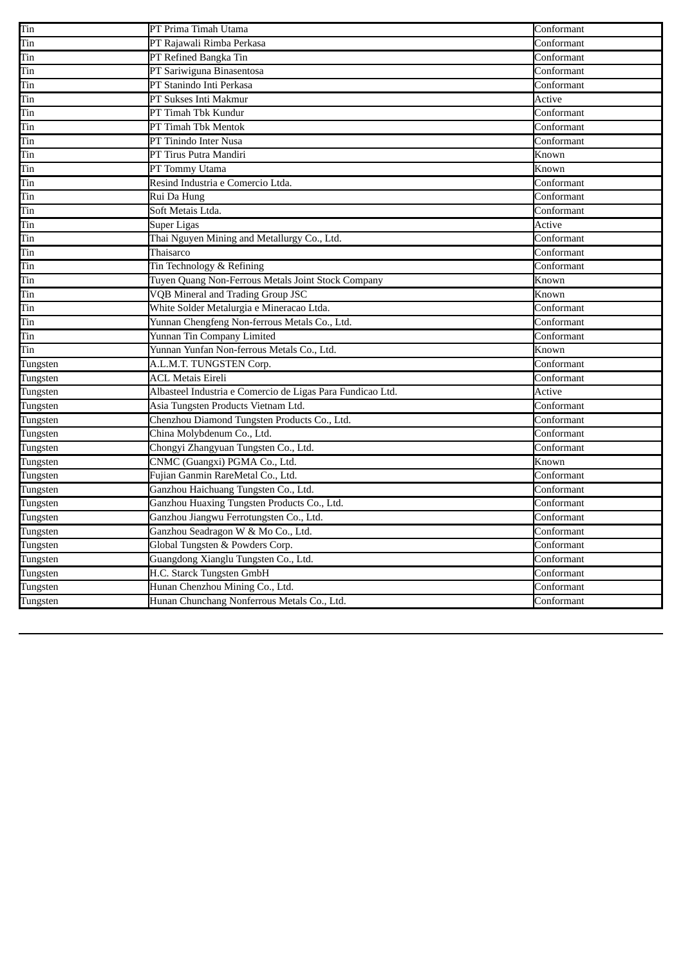| Tin      | PT Prima Timah Utama                                       | Conformant |
|----------|------------------------------------------------------------|------------|
| Tin      | PT Rajawali Rimba Perkasa                                  | Conformant |
| Tin      | PT Refined Bangka Tin                                      | Conformant |
| Tin      | PT Sariwiguna Binasentosa                                  | Conformant |
| Tin      | PT Stanindo Inti Perkasa                                   | Conformant |
| Tin      | PT Sukses Inti Makmur                                      | Active     |
| Tin      | PT Timah Tbk Kundur                                        | Conformant |
| Tin      | PT Timah Tbk Mentok                                        | Conformant |
| Tin      | PT Tinindo Inter Nusa                                      | Conformant |
| Tin      | PT Tirus Putra Mandiri                                     | Known      |
| Tin      | PT Tommy Utama                                             | Known      |
| Tin      | Resind Industria e Comercio Ltda.                          | Conformant |
| Tin      | Rui Da Hung                                                | Conformant |
| Tin      | Soft Metais Ltda.                                          | Conformant |
| Tin      | <b>Super Ligas</b>                                         | Active     |
| Tin      | Thai Nguyen Mining and Metallurgy Co., Ltd.                | Conformant |
| Tin      | Thaisarco                                                  | Conformant |
| Tin      | Tin Technology & Refining                                  | Conformant |
| Tin      | Tuyen Quang Non-Ferrous Metals Joint Stock Company         | Known      |
| Tin      | <b>VQB Mineral and Trading Group JSC</b>                   | Known      |
| Tin      | White Solder Metalurgia e Mineracao Ltda.                  | Conformant |
| Tin      | Yunnan Chengfeng Non-ferrous Metals Co., Ltd.              | Conformant |
| Tin      | Yunnan Tin Company Limited                                 | Conformant |
| Tin      | Yunnan Yunfan Non-ferrous Metals Co., Ltd.                 | Known      |
| Tungsten | A.L.M.T. TUNGSTEN Corp.                                    | Conformant |
| Tungsten | <b>ACL Metais Eireli</b>                                   | Conformant |
| Tungsten | Albasteel Industria e Comercio de Ligas Para Fundicao Ltd. | Active     |
| Tungsten | Asia Tungsten Products Vietnam Ltd.                        | Conformant |
| Tungsten | Chenzhou Diamond Tungsten Products Co., Ltd.               | Conformant |
| Tungsten | China Molybdenum Co., Ltd.                                 | Conformant |
| Tungsten | Chongyi Zhangyuan Tungsten Co., Ltd.                       | Conformant |
| Tungsten | CNMC (Guangxi) PGMA Co., Ltd.                              | Known      |
| Tungsten | Fujian Ganmin RareMetal Co., Ltd.                          | Conformant |
| Tungsten | Ganzhou Haichuang Tungsten Co., Ltd.                       | Conformant |
| Tungsten | Ganzhou Huaxing Tungsten Products Co., Ltd.                | Conformant |
| Tungsten | Ganzhou Jiangwu Ferrotungsten Co., Ltd.                    | Conformant |
| Tungsten | Ganzhou Seadragon W & Mo Co., Ltd.                         | Conformant |
| Tungsten | Global Tungsten & Powders Corp.                            | Conformant |
| Tungsten | Guangdong Xianglu Tungsten Co., Ltd.                       | Conformant |
| Tungsten | H.C. Starck Tungsten GmbH                                  | Conformant |
| Tungsten | Hunan Chenzhou Mining Co., Ltd.                            | Conformant |
| Tungsten | Hunan Chunchang Nonferrous Metals Co., Ltd.                | Conformant |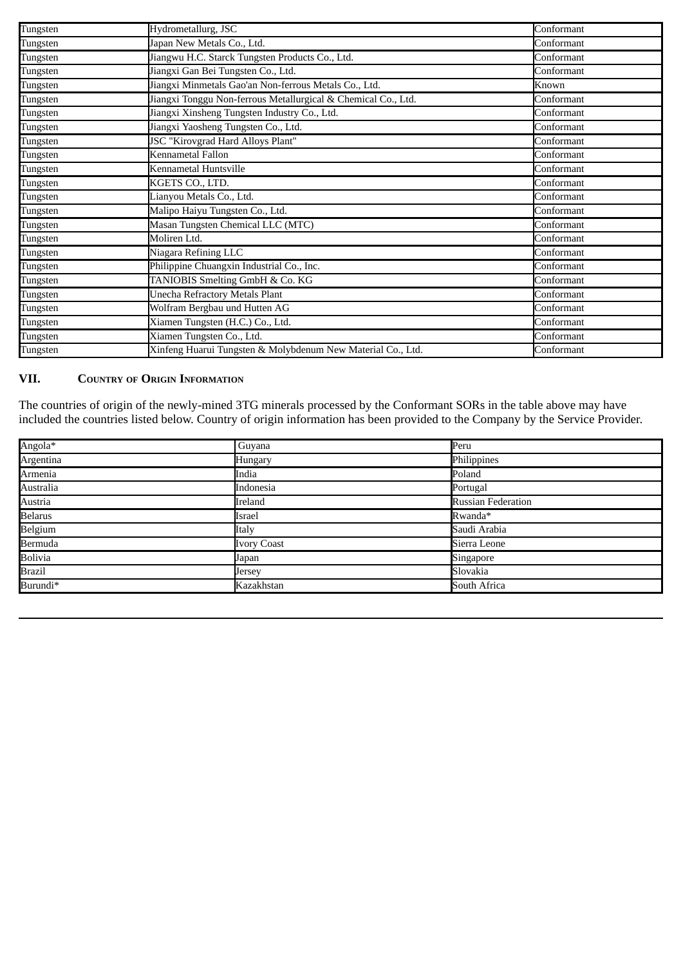| Tungsten | Hydrometallurg, JSC                                           | Conformant |
|----------|---------------------------------------------------------------|------------|
| Tungsten | Japan New Metals Co., Ltd.                                    | Conformant |
| Tungsten | Jiangwu H.C. Starck Tungsten Products Co., Ltd.               | Conformant |
| Tungsten | Jiangxi Gan Bei Tungsten Co., Ltd.                            | Conformant |
| Tungsten | Jiangxi Minmetals Gao'an Non-ferrous Metals Co., Ltd.         | Known      |
| Tungsten | Jiangxi Tonggu Non-ferrous Metallurgical & Chemical Co., Ltd. | Conformant |
| Tungsten | Jiangxi Xinsheng Tungsten Industry Co., Ltd.                  | Conformant |
| Tungsten | Jiangxi Yaosheng Tungsten Co., Ltd.                           | Conformant |
| Tungsten | JSC "Kirovgrad Hard Alloys Plant"                             | Conformant |
| Tungsten | Kennametal Fallon                                             | Conformant |
| Tungsten | Kennametal Huntsville                                         | Conformant |
| Tungsten | KGETS CO., LTD.                                               | Conformant |
| Tungsten | Lianyou Metals Co., Ltd.                                      | Conformant |
| Tungsten | Malipo Haiyu Tungsten Co., Ltd.                               | Conformant |
| Tungsten | Masan Tungsten Chemical LLC (MTC)                             | Conformant |
| Tungsten | Moliren Ltd.                                                  | Conformant |
| Tungsten | Niagara Refining LLC                                          | Conformant |
| Tungsten | Philippine Chuangxin Industrial Co., Inc.                     | Conformant |
| Tungsten | TANIOBIS Smelting GmbH & Co. KG                               | Conformant |
| Tungsten | Unecha Refractory Metals Plant                                | Conformant |
| Tungsten | Wolfram Bergbau und Hutten AG                                 | Conformant |
| Tungsten | Xiamen Tungsten (H.C.) Co., Ltd.                              | Conformant |
| Tungsten | Xiamen Tungsten Co., Ltd.                                     | Conformant |
| Tungsten | Xinfeng Huarui Tungsten & Molybdenum New Material Co., Ltd.   | Conformant |

## **VII. COUNTRY OF ORIGIN INFORMATION**

The countries of origin of the newly-mined 3TG minerals processed by the Conformant SORs in the table above may have included the countries listed below. Country of origin information has been provided to the Company by the Service Provider.

| Angola*        | Guyana             | Peru                      |
|----------------|--------------------|---------------------------|
| Argentina      | Hungary            | Philippines               |
| Armenia        | India              | Poland                    |
| Australia      | Indonesia          | Portugal                  |
| Austria        | Ireland            | <b>Russian Federation</b> |
| <b>Belarus</b> | Israel             | Rwanda*                   |
| Belgium        | Italy              | Saudi Arabia              |
| <b>Bermuda</b> | <b>Ivory Coast</b> | Sierra Leone              |
| <b>Bolivia</b> | Japan              | Singapore                 |
| <b>Brazil</b>  | Jersey             | Slovakia                  |
| Burundi*       | Kazakhstan         | South Africa              |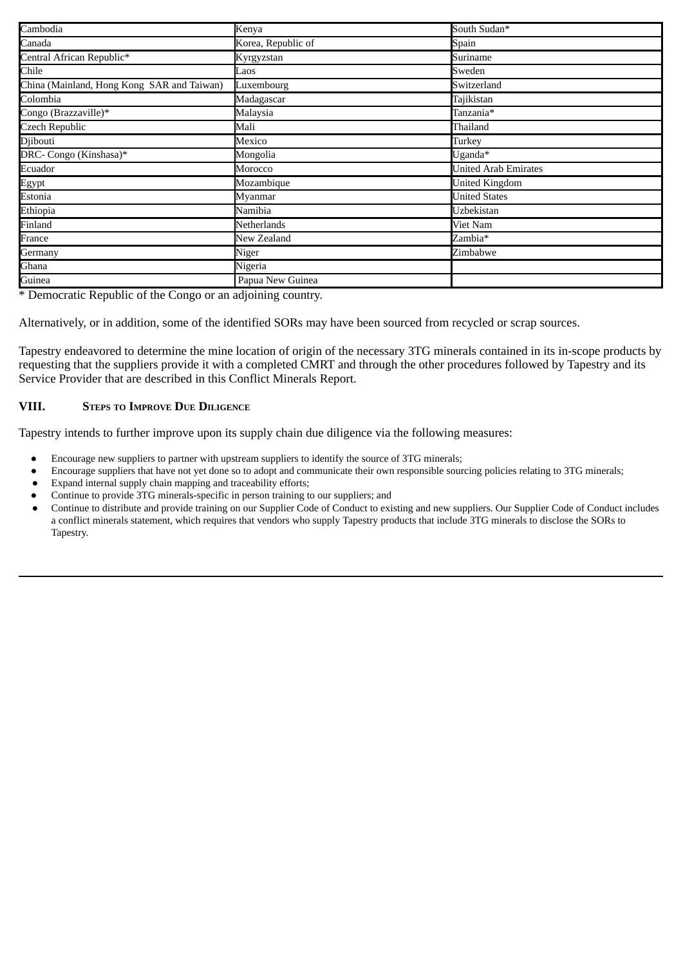| Cambodia                                   | Kenya              | South Sudan*                |
|--------------------------------------------|--------------------|-----------------------------|
| Canada                                     | Korea, Republic of | Spain                       |
| Central African Republic*                  | Kyrgyzstan         | Suriname                    |
| Chile                                      | Laos               | Sweden                      |
| China (Mainland, Hong Kong SAR and Taiwan) | Luxembourg         | Switzerland                 |
| Colombia                                   | Madagascar         | Tajikistan                  |
| Congo (Brazzaville)*                       | Malaysia           | Tanzania*                   |
| <b>Czech Republic</b>                      | Mali               | Thailand                    |
| Djibouti                                   | Mexico             | Turkey                      |
| DRC- Congo (Kinshasa)*                     | Mongolia           | Uganda*                     |
| Ecuador                                    | Morocco            | <b>United Arab Emirates</b> |
| Egypt                                      | Mozambique         | <b>United Kingdom</b>       |
| Estonia                                    | Myanmar            | <b>United States</b>        |
| Ethiopia                                   | Namibia            | Uzbekistan                  |
| Finland                                    | Netherlands        | Viet Nam                    |
| France                                     | New Zealand        | Zambia*                     |
| Germany                                    | Niger              | Zimbabwe                    |
| Ghana                                      | Nigeria            |                             |
| Guinea                                     | Papua New Guinea   |                             |

\* Democratic Republic of the Congo or an adjoining country.

Alternatively, or in addition, some of the identified SORs may have been sourced from recycled or scrap sources.

Tapestry endeavored to determine the mine location of origin of the necessary 3TG minerals contained in its in-scope products by requesting that the suppliers provide it with a completed CMRT and through the other procedures followed by Tapestry and its Service Provider that are described in this Conflict Minerals Report.

#### **VIII. STEPS TO IMPROVE DUE DILIGENCE**

Tapestry intends to further improve upon its supply chain due diligence via the following measures:

- Encourage new suppliers to partner with upstream suppliers to identify the source of 3TG minerals;
- Encourage suppliers that have not yet done so to adopt and communicate their own responsible sourcing policies relating to 3TG minerals;
- Expand internal supply chain mapping and traceability efforts;
- Continue to provide 3TG minerals-specific in person training to our suppliers; and
- Continue to distribute and provide training on our Supplier Code of Conduct to existing and new suppliers. Our Supplier Code of Conduct includes a conflict minerals statement, which requires that vendors who supply Tapestry products that include 3TG minerals to disclose the SORs to Tapestry.